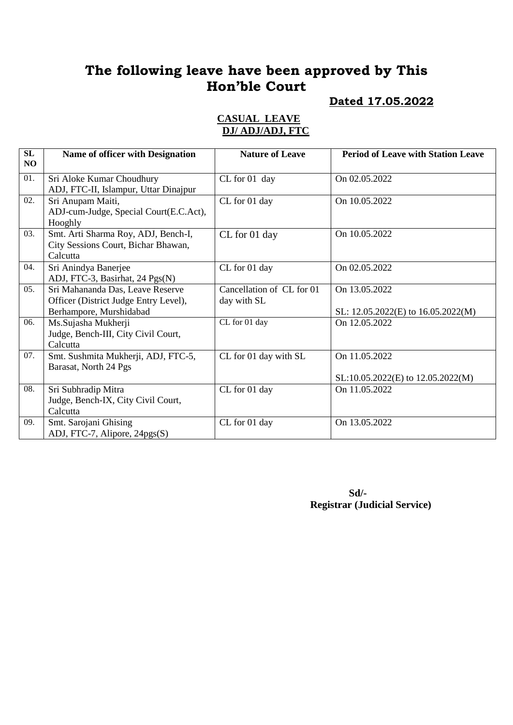# **The following leave have been approved by This Hon'ble Court**

#### **Dated 17.05.2022**

#### **CASUAL LEAVE DJ/ ADJ/ADJ, FTC**

| SL<br>N <sub>O</sub> | Name of officer with Designation                                                                     | <b>Nature of Leave</b>                   | <b>Period of Leave with Station Leave</b>              |
|----------------------|------------------------------------------------------------------------------------------------------|------------------------------------------|--------------------------------------------------------|
| 01.                  | Sri Aloke Kumar Choudhury<br>ADJ, FTC-II, Islampur, Uttar Dinajpur                                   | CL for 01 day                            | On 02.05.2022                                          |
| 02.                  | Sri Anupam Maiti,<br>ADJ-cum-Judge, Special Court(E.C.Act),<br>Hooghly                               | CL for 01 day                            | On 10.05.2022                                          |
| 03.                  | Smt. Arti Sharma Roy, ADJ, Bench-I,<br>City Sessions Court, Bichar Bhawan,<br>Calcutta               | CL for 01 day                            | On 10.05.2022                                          |
| 04.                  | Sri Anindya Banerjee<br>ADJ, FTC-3, Basirhat, 24 Pgs(N)                                              | CL for 01 day                            | On 02.05.2022                                          |
| 05.                  | Sri Mahananda Das, Leave Reserve<br>Officer (District Judge Entry Level),<br>Berhampore, Murshidabad | Cancellation of CL for 01<br>day with SL | On 13.05.2022<br>SL: 12.05.2022(E) to 16.05.2022(M)    |
| 06.                  | Ms.Sujasha Mukherji<br>Judge, Bench-III, City Civil Court,<br>Calcutta                               | CL for 01 day                            | On 12.05.2022                                          |
| 07.                  | Smt. Sushmita Mukherji, ADJ, FTC-5,<br>Barasat, North 24 Pgs                                         | CL for 01 day with SL                    | On 11.05.2022<br>$SL:10.05.2022(E)$ to $12.05.2022(M)$ |
| 08.                  | Sri Subhradip Mitra<br>Judge, Bench-IX, City Civil Court,<br>Calcutta                                | CL for 01 day                            | On 11.05.2022                                          |
| 09.                  | Smt. Sarojani Ghising<br>ADJ, FTC-7, Alipore, 24pgs(S)                                               | CL for 01 day                            | On 13.05.2022                                          |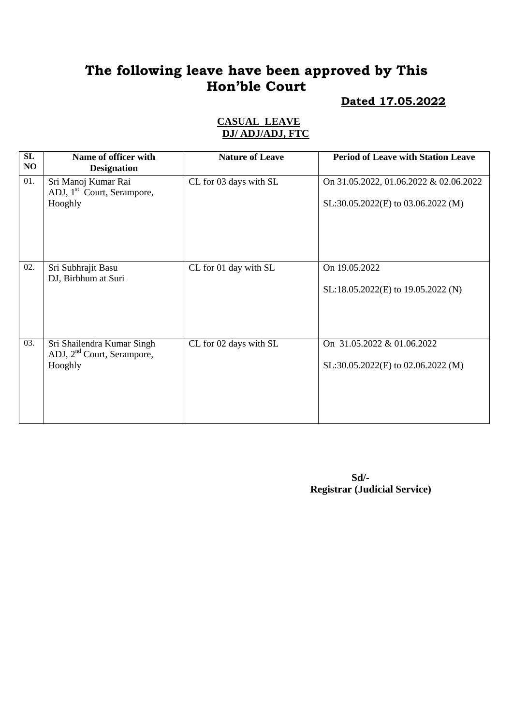# **The following leave have been approved by This Hon'ble Court**

#### **Dated 17.05.2022**

#### **CASUAL LEAVE DJ/ ADJ/ADJ, FTC**

| SL<br>NO | Name of officer with<br><b>Designation</b>                                      | <b>Nature of Leave</b> | <b>Period of Leave with Station Leave</b>                                    |
|----------|---------------------------------------------------------------------------------|------------------------|------------------------------------------------------------------------------|
| 01.      | Sri Manoj Kumar Rai<br>ADJ, 1 <sup>st</sup> Court, Serampore,<br>Hooghly        | CL for 03 days with SL | On 31.05.2022, 01.06.2022 & 02.06.2022<br>SL:30.05.2022(E) to 03.06.2022 (M) |
| 02.      | Sri Subhrajit Basu<br>DJ, Birbhum at Suri                                       | CL for 01 day with SL  | On 19.05.2022<br>SL:18.05.2022(E) to 19.05.2022 (N)                          |
| 03.      | Sri Shailendra Kumar Singh<br>ADJ, 2 <sup>nd</sup> Court, Serampore,<br>Hooghly | CL for 02 days with SL | On 31.05.2022 & 01.06.2022<br>SL:30.05.2022(E) to 02.06.2022 (M)             |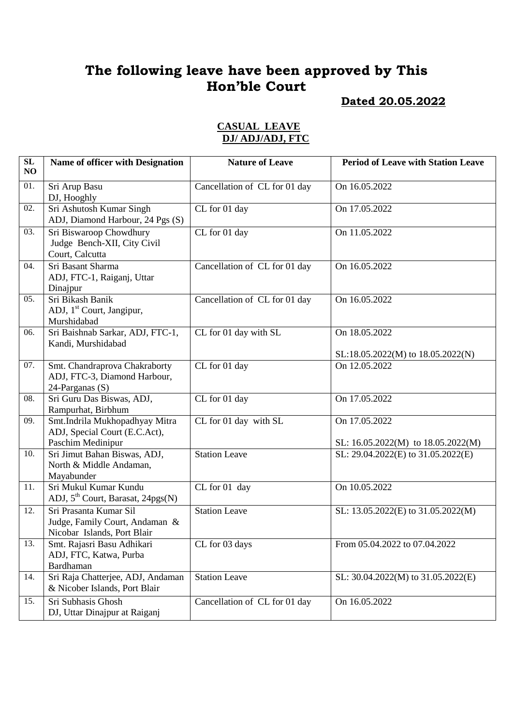# **The following leave have been approved by This Hon'ble Court**

## **Dated 20.05.2022**

| SL<br>NO | Name of officer with Designation                                                        | <b>Nature of Leave</b>        | <b>Period of Leave with Station Leave</b>               |
|----------|-----------------------------------------------------------------------------------------|-------------------------------|---------------------------------------------------------|
| 01.      | Sri Arup Basu<br>DJ, Hooghly                                                            | Cancellation of CL for 01 day | On 16.05.2022                                           |
| 02.      | Sri Ashutosh Kumar Singh<br>ADJ, Diamond Harbour, 24 Pgs (S)                            | CL for 01 day                 | On 17.05.2022                                           |
| 03.      | Sri Biswaroop Chowdhury<br>Judge Bench-XII, City Civil<br>Court, Calcutta               | CL for 01 day                 | On 11.05.2022                                           |
| 04.      | Sri Basant Sharma<br>ADJ, FTC-1, Raiganj, Uttar<br>Dinajpur                             | Cancellation of CL for 01 day | On 16.05.2022                                           |
| 05.      | Sri Bikash Banik<br>ADJ, 1 <sup>st</sup> Court, Jangipur,<br>Murshidabad                | Cancellation of CL for 01 day | On 16.05.2022                                           |
| 06.      | Sri Baishnab Sarkar, ADJ, FTC-1,<br>Kandi, Murshidabad                                  | CL for 01 day with SL         | On 18.05.2022<br>SL:18.05.2022(M) to 18.05.2022(N)      |
| 07.      | Smt. Chandraprova Chakraborty<br>ADJ, FTC-3, Diamond Harbour,<br>24-Parganas (S)        | CL for 01 day                 | On 12.05.2022                                           |
| 08.      | Sri Guru Das Biswas, ADJ,<br>Rampurhat, Birbhum                                         | CL for 01 day                 | On 17.05.2022                                           |
| 09.      | Smt.Indrila Mukhopadhyay Mitra<br>ADJ, Special Court (E.C.Act),<br>Paschim Medinipur    | CL for 01 day with SL         | On 17.05.2022<br>SL: $16.05.2022(M)$ to $18.05.2022(M)$ |
| 10.      | Sri Jimut Bahan Biswas, ADJ,<br>North & Middle Andaman,<br>Mayabunder                   | <b>Station Leave</b>          | SL: 29.04.2022(E) to 31.05.2022(E)                      |
| 11.      | Sri Mukul Kumar Kundu<br>ADJ, 5 <sup>th</sup> Court, Barasat, 24pgs(N)                  | CL for 01 day                 | On 10.05.2022                                           |
| 12.      | Sri Prasanta Kumar Sil<br>Judge, Family Court, Andaman &<br>Nicobar Islands, Port Blair | <b>Station Leave</b>          | SL: 13.05.2022(E) to 31.05.2022(M)                      |
| 13.      | Smt. Rajasri Basu Adhikari<br>ADJ, FTC, Katwa, Purba<br>Bardhaman                       | CL for 03 days                | From 05.04.2022 to 07.04.2022                           |
| 14.      | Sri Raja Chatterjee, ADJ, Andaman<br>& Nicober Islands, Port Blair                      | <b>Station Leave</b>          | SL: 30.04.2022(M) to 31.05.2022(E)                      |
| 15.      | Sri Subhasis Ghosh<br>DJ, Uttar Dinajpur at Raiganj                                     | Cancellation of CL for 01 day | On 16.05.2022                                           |

#### **CASUAL LEAVE DJ/ ADJ/ADJ, FTC**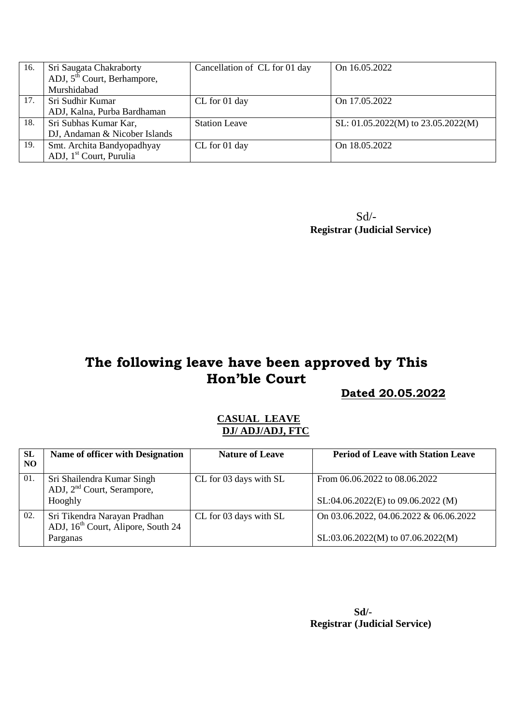| 16. | Sri Saugata Chakraborty             | Cancellation of CL for 01 day | On 16.05.2022                          |
|-----|-------------------------------------|-------------------------------|----------------------------------------|
|     | ADJ, $5th$ Court, Berhampore,       |                               |                                        |
|     | Murshidabad                         |                               |                                        |
| 17. | Sri Sudhir Kumar                    | CL for 01 day                 | On 17.05.2022                          |
|     | ADJ, Kalna, Purba Bardhaman         |                               |                                        |
| 18. | Sri Subhas Kumar Kar,               | <b>Station Leave</b>          | SL: $01.05.2022(M)$ to $23.05.2022(M)$ |
|     | DJ, Andaman & Nicober Islands       |                               |                                        |
| 19. | Smt. Archita Bandyopadhyay          | CL for 01 day                 | On 18.05.2022                          |
|     | ADJ, 1 <sup>st</sup> Court, Purulia |                               |                                        |

 Sd/- **Registrar (Judicial Service)**

# **The following leave have been approved by This Hon'ble Court**

 **Dated 20.05.2022**

#### **CASUAL LEAVE DJ/ ADJ/ADJ, FTC**

| <b>SL</b><br>NO | Name of officer with Designation                                               | <b>Nature of Leave</b> | <b>Period of Leave with Station Leave</b> |
|-----------------|--------------------------------------------------------------------------------|------------------------|-------------------------------------------|
| 01.             | Sri Shailendra Kumar Singh<br>ADJ, 2 <sup>nd</sup> Court, Serampore,           | CL for 03 days with SL | From 06.06.2022 to 08.06.2022             |
|                 | Hooghly                                                                        |                        | $SL:04.06.2022(E)$ to 09.06.2022 (M)      |
| 02.             | Sri Tikendra Narayan Pradhan<br>ADJ, 16 <sup>th</sup> Court, Alipore, South 24 | CL for 03 days with SL | On 03.06.2022, 04.06.2022 & 06.06.2022    |
|                 | Parganas                                                                       |                        | $SL: 03.06.2022(M)$ to 07.06.2022(M)      |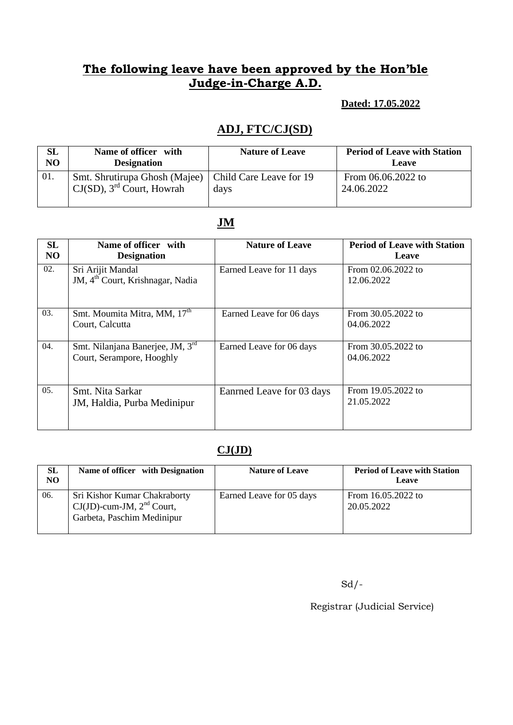#### **Dated: 17.05.2022**

## **ADJ, FTC/CJ(SD)**

| <b>SL</b>      | Name of officer with                                                                                | <b>Nature of Leave</b> | <b>Period of Leave with Station</b> |
|----------------|-----------------------------------------------------------------------------------------------------|------------------------|-------------------------------------|
| N <sub>O</sub> | <b>Designation</b>                                                                                  |                        | Leave                               |
| 01.            | Smt. Shrutirupa Ghosh (Majee)   Child Care Leave for 19<br>$CJ(SD)$ , 3 <sup>rd</sup> Court, Howrah | days                   | From $06.06.2022$ to<br>24.06.2022  |

## **JM**

| SL<br>N <sub>O</sub> | Name of officer with<br><b>Designation</b>                        | <b>Nature of Leave</b>    | <b>Period of Leave with Station</b><br>Leave |
|----------------------|-------------------------------------------------------------------|---------------------------|----------------------------------------------|
| 02.                  | Sri Arijit Mandal<br>JM, 4 <sup>th</sup> Court, Krishnagar, Nadia | Earned Leave for 11 days  | From 02.06.2022 to<br>12.06.2022             |
| 03.                  | Smt. Moumita Mitra, MM, 17 <sup>th</sup><br>Court, Calcutta       | Earned Leave for 06 days  | From 30.05.2022 to<br>04.06.2022             |
| 04.                  | Smt. Nilanjana Banerjee, JM, 3rd<br>Court, Serampore, Hooghly     | Earned Leave for 06 days  | From 30.05.2022 to<br>04.06.2022             |
| 05.                  | Smt. Nita Sarkar<br>JM, Haldia, Purba Medinipur                   | Eanrned Leave for 03 days | From 19.05.2022 to<br>21.05.2022             |

#### **CJ(JD)**

| <b>SL</b><br>NO | Name of officer with Designation                                                                                            | <b>Nature of Leave</b>   | <b>Period of Leave with Station</b><br>Leave |
|-----------------|-----------------------------------------------------------------------------------------------------------------------------|--------------------------|----------------------------------------------|
| 06.             | <b>Sri Kishor Kumar Chakraborty</b><br>$\text{CJ}(\text{JD})$ -cum-JM, $2^{\text{nd}}$ Court,<br>Garbeta, Paschim Medinipur | Earned Leave for 05 days | From 16.05.2022 to<br>20.05.2022             |

 $Sd$  /-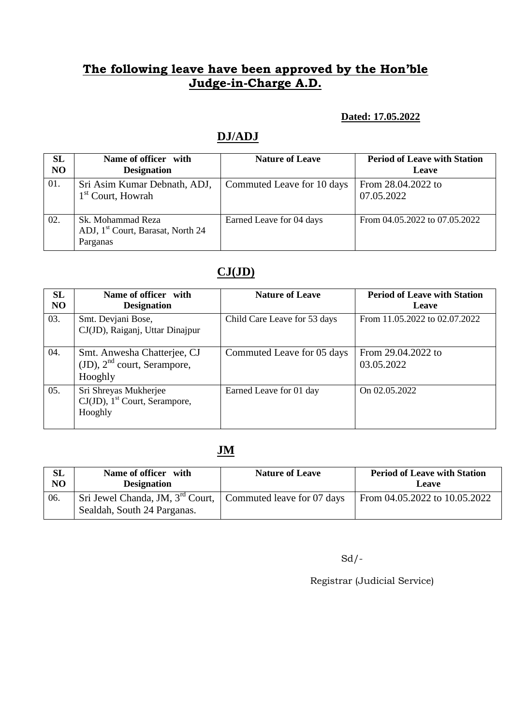#### **Dated: 17.05.2022**

#### **DJ/ADJ**

| <b>SL</b><br>N <sub>O</sub> | Name of officer with<br><b>Designation</b>                                     | <b>Nature of Leave</b>     | <b>Period of Leave with Station</b><br>Leave |
|-----------------------------|--------------------------------------------------------------------------------|----------------------------|----------------------------------------------|
| 01.                         | Sri Asim Kumar Debnath, ADJ,<br>1 <sup>st</sup> Court, Howrah                  | Commuted Leave for 10 days | From 28.04.2022 to<br>07.05.2022             |
| 02.                         | Sk. Mohammad Reza<br>ADJ, 1 <sup>st</sup> Court, Barasat, North 24<br>Parganas | Earned Leave for 04 days   | From 04.05.2022 to 07.05.2022                |

## **CJ(JD)**

| <b>SL</b><br>N <sub>O</sub> | Name of officer with<br><b>Designation</b>                                       | <b>Nature of Leave</b>       | <b>Period of Leave with Station</b><br>Leave |
|-----------------------------|----------------------------------------------------------------------------------|------------------------------|----------------------------------------------|
| 03.                         | Smt. Devjani Bose,<br>CJ(JD), Raiganj, Uttar Dinajpur                            | Child Care Leave for 53 days | From 11.05.2022 to 02.07.2022                |
| 04.                         | Smt. Anwesha Chatterjee, CJ<br>$(JD)$ , $2nd$ court, Serampore,<br>Hooghly       | Commuted Leave for 05 days   | From 29.04.2022 to<br>03.05.2022             |
| 05.                         | Sri Shreyas Mukherjee<br>$CJ(JD)$ , 1 <sup>st</sup> Court, Serampore,<br>Hooghly | Earned Leave for 01 day      | On 02.05.2022                                |

## **JM**

| <b>SL</b>      | Name of officer with                                                                            | <b>Nature of Leave</b> | <b>Period of Leave with Station</b> |
|----------------|-------------------------------------------------------------------------------------------------|------------------------|-------------------------------------|
| N <sub>O</sub> | <b>Designation</b>                                                                              |                        | <b>Leave</b>                        |
| 06.            | Sri Jewel Chanda, JM, $3^{rd}$ Court, Commuted leave for 07 days<br>Sealdah, South 24 Parganas. |                        | From $04.05.2022$ to $10.05.2022$   |

Sd/-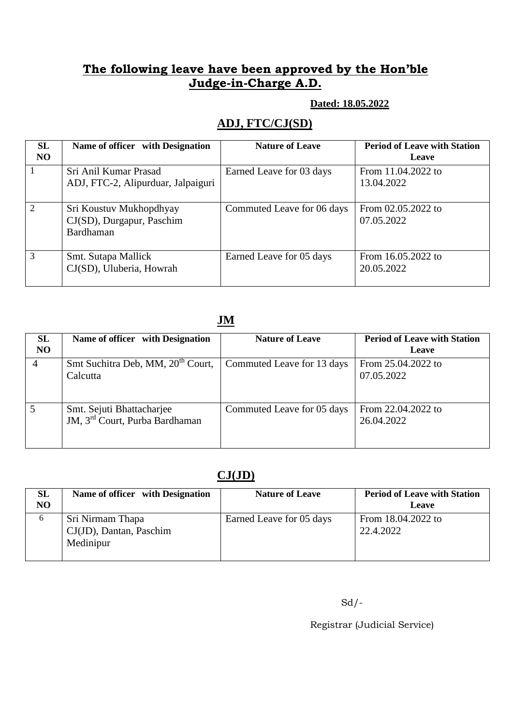#### **Dated: 18.05.2022**

## **ADJ, FTC/CJ(SD)**

| <b>SL</b><br>N <sub>O</sub> | Name of officer with Designation                                  | <b>Nature of Leave</b>     | <b>Period of Leave with Station</b><br>Leave |
|-----------------------------|-------------------------------------------------------------------|----------------------------|----------------------------------------------|
|                             | Sri Anil Kumar Prasad<br>ADJ, FTC-2, Alipurduar, Jalpaiguri       | Earned Leave for 03 days   | From 11.04.2022 to<br>13.04.2022             |
| 2                           | Sri Koustuv Mukhopdhyay<br>CJ(SD), Durgapur, Paschim<br>Bardhaman | Commuted Leave for 06 days | From 02.05.2022 to<br>07.05.2022             |
| 3                           | Smt. Sutapa Mallick<br>CJ(SD), Uluberia, Howrah                   | Earned Leave for 05 days   | From 16.05.2022 to<br>20.05.2022             |

## **JM**

| <b>SL</b><br>N <sub>O</sub> | Name of officer with Designation                                        | <b>Nature of Leave</b>     | <b>Period of Leave with Station</b><br>Leave |
|-----------------------------|-------------------------------------------------------------------------|----------------------------|----------------------------------------------|
| $\overline{4}$              | Smt Suchitra Deb, MM, 20 <sup>th</sup> Court,<br>Calcutta               | Commuted Leave for 13 days | From 25.04.2022 to<br>07.05.2022             |
|                             | Smt. Sejuti Bhattacharjee<br>JM, 3 <sup>rd</sup> Court, Purba Bardhaman | Commuted Leave for 05 days | From 22.04.2022 to<br>26.04.2022             |

## **CJ(JD)**

| <b>SL</b><br>N <sub>O</sub> | Name of officer with Designation                         | <b>Nature of Leave</b>   | <b>Period of Leave with Station</b><br>Leave |
|-----------------------------|----------------------------------------------------------|--------------------------|----------------------------------------------|
| 6                           | Sri Nirmam Thapa<br>CJ(JD), Dantan, Paschim<br>Medinipur | Earned Leave for 05 days | From 18.04.2022 to<br>22.4.2022              |

 $Sd$  /-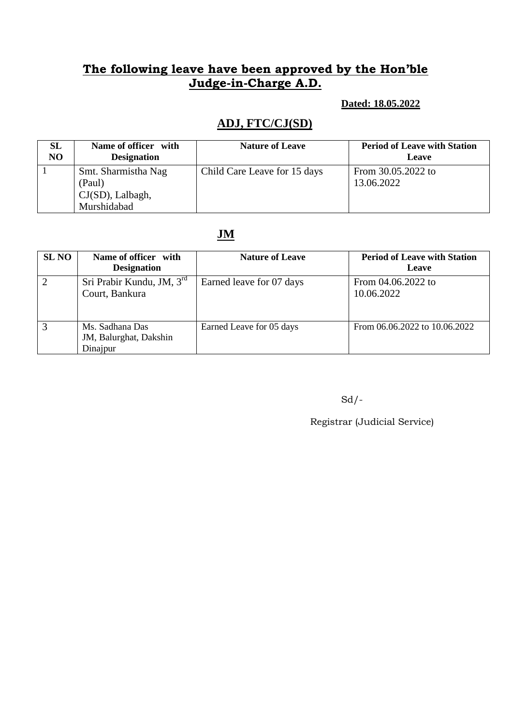#### **Dated: 18.05.2022**

## **ADJ, FTC/CJ(SD)**

| SL             | Name of officer with                                                | <b>Nature of Leave</b>       | <b>Period of Leave with Station</b> |
|----------------|---------------------------------------------------------------------|------------------------------|-------------------------------------|
| N <sub>O</sub> | <b>Designation</b>                                                  |                              | Leave                               |
|                | Smt. Sharmistha Nag<br>(Paul)<br>$CJ(SD)$ , Lalbagh,<br>Murshidabad | Child Care Leave for 15 days | From 30.05.2022 to<br>13.06.2022    |

#### **JM**

| <b>SL NO</b> | Name of officer with<br><b>Designation</b>            | <b>Nature of Leave</b>   | <b>Period of Leave with Station</b><br>Leave |
|--------------|-------------------------------------------------------|--------------------------|----------------------------------------------|
|              | Sri Prabir Kundu, JM, 3rd<br>Court, Bankura           | Earned leave for 07 days | From 04.06.2022 to<br>10.06.2022             |
|              | Ms. Sadhana Das<br>JM, Balurghat, Dakshin<br>Dinajpur | Earned Leave for 05 days | From 06.06.2022 to 10.06.2022                |

 $Sd$  /-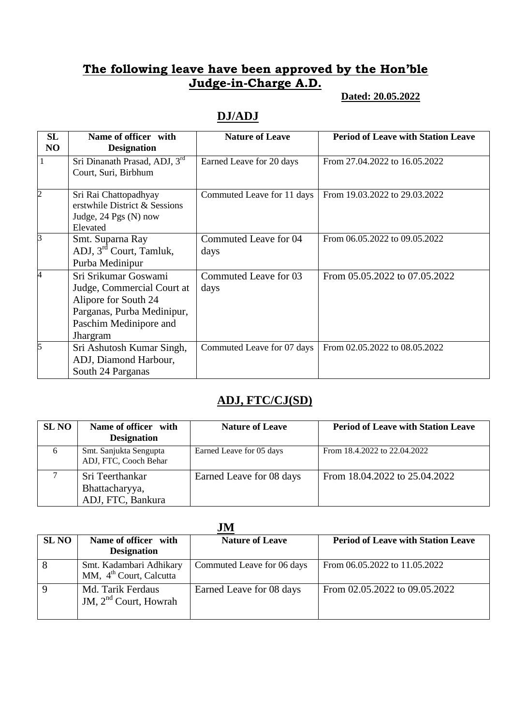#### **Dated: 20.05.2022**

#### **DJ/ADJ**

| <b>SL</b><br>NO | Name of officer with<br><b>Designation</b>                                                                                                             | <b>Nature of Leave</b>        | <b>Period of Leave with Station Leave</b> |
|-----------------|--------------------------------------------------------------------------------------------------------------------------------------------------------|-------------------------------|-------------------------------------------|
| 1               | Sri Dinanath Prasad, ADJ, 3rd<br>Court, Suri, Birbhum                                                                                                  | Earned Leave for 20 days      | From 27.04.2022 to 16.05.2022             |
| 2               | Sri Rai Chattopadhyay<br>erstwhile District & Sessions<br>Judge, 24 Pgs (N) now<br>Elevated                                                            | Commuted Leave for 11 days    | From 19.03.2022 to 29.03.2022             |
| B               | Smt. Suparna Ray<br>ADJ, 3 <sup>rd</sup> Court, Tamluk,<br>Purba Medinipur                                                                             | Commuted Leave for 04<br>days | From 06.05.2022 to 09.05.2022             |
| 4               | Sri Srikumar Goswami<br>Judge, Commercial Court at<br>Alipore for South 24<br>Parganas, Purba Medinipur,<br>Paschim Medinipore and<br><b>J</b> hargram | Commuted Leave for 03<br>days | From 05.05.2022 to 07.05.2022             |
| 5               | Sri Ashutosh Kumar Singh,<br>ADJ, Diamond Harbour,<br>South 24 Parganas                                                                                | Commuted Leave for 07 days    | From 02.05.2022 to 08.05.2022             |

#### **ADJ, FTC/CJ(SD)**

| <b>SL NO</b> | Name of officer with<br><b>Designation</b>             | <b>Nature of Leave</b>   | <b>Period of Leave with Station Leave</b> |
|--------------|--------------------------------------------------------|--------------------------|-------------------------------------------|
| 6            | Smt. Sanjukta Sengupta<br>ADJ, FTC, Cooch Behar        | Earned Leave for 05 days | From 18.4.2022 to 22.04.2022              |
|              | Sri Teerthankar<br>Bhattacharyya,<br>ADJ, FTC, Bankura | Earned Leave for 08 days | From 18.04.2022 to 25.04.2022             |

| <b>SL NO</b> | Name of officer with<br><b>Designation</b>                     | <b>Nature of Leave</b>     | <b>Period of Leave with Station Leave</b> |
|--------------|----------------------------------------------------------------|----------------------------|-------------------------------------------|
| 8            | Smt. Kadambari Adhikary<br>MM, 4 <sup>th</sup> Court, Calcutta | Commuted Leave for 06 days | From 06.05.2022 to 11.05.2022             |
| 9            | Md. Tarik Ferdaus<br>JM, $2nd$ Court, Howrah                   | Earned Leave for 08 days   | From 02.05.2022 to 09.05.2022             |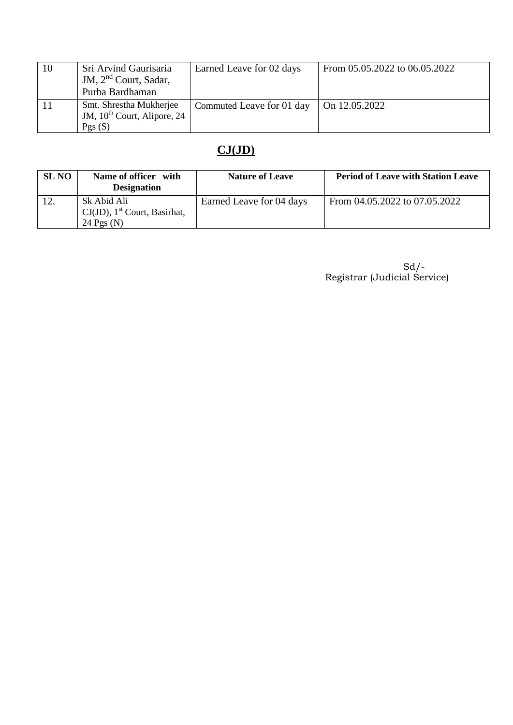| 10 | Sri Arvind Gaurisaria<br>JM, $2nd$ Court, Sadar,<br>Purba Bardhaman   | Earned Leave for 02 days  | From 05.05.2022 to 06.05.2022 |
|----|-----------------------------------------------------------------------|---------------------------|-------------------------------|
|    | Smt. Shrestha Mukherjee<br>JM, $10^{th}$ Court, Alipore, 24<br>Pgs(S) | Commuted Leave for 01 day | On 12.05.2022                 |

# **CJ(JD)**

| <b>SL NO</b> | Name of officer with<br><b>Designation</b>                                 | <b>Nature of Leave</b>   | <b>Period of Leave with Station Leave</b> |
|--------------|----------------------------------------------------------------------------|--------------------------|-------------------------------------------|
|              | Sk Abid Ali<br>$CJ(JD)$ , 1 <sup>st</sup> Court, Basirhat,<br>24 Pgs $(N)$ | Earned Leave for 04 days | From 04.05.2022 to 07.05.2022             |